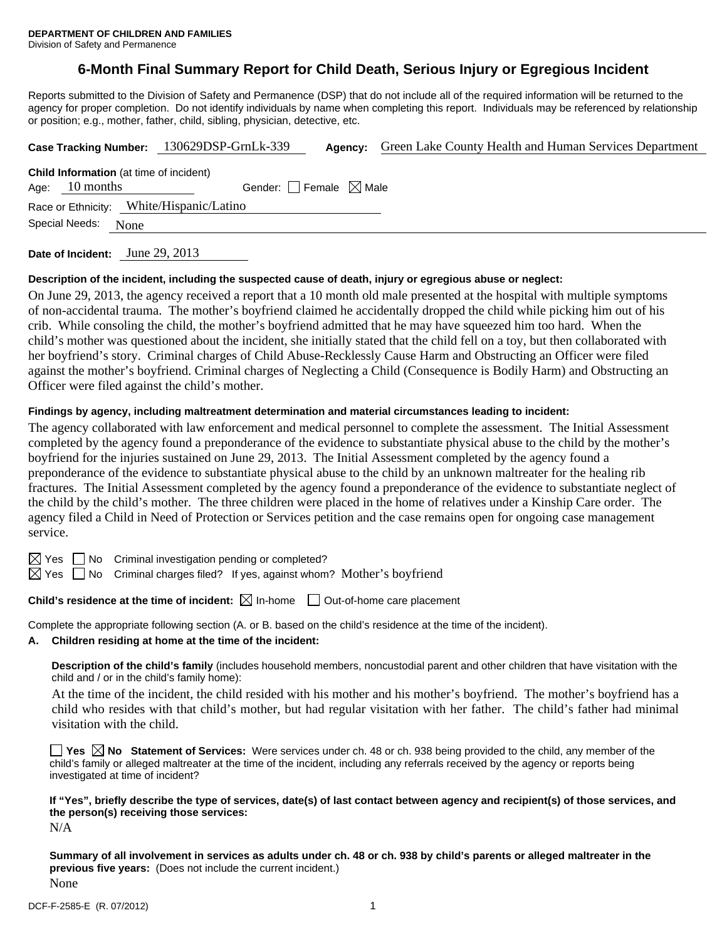# **6-Month Final Summary Report for Child Death, Serious Injury or Egregious Incident**

Reports submitted to the Division of Safety and Permanence (DSP) that do not include all of the required information will be returned to the agency for proper completion. Do not identify individuals by name when completing this report. Individuals may be referenced by relationship or position; e.g., mother, father, child, sibling, physician, detective, etc.

|                                                                                                       |                |      | Case Tracking Number: 130629DSP-GrnLk-339 | Agency: | Green Lake County Health and Human Services Department |  |  |  |  |
|-------------------------------------------------------------------------------------------------------|----------------|------|-------------------------------------------|---------|--------------------------------------------------------|--|--|--|--|
| <b>Child Information</b> (at time of incident)<br>Gender: Female $\boxtimes$ Male<br>Age: $10$ months |                |      |                                           |         |                                                        |  |  |  |  |
| Race or Ethnicity: White/Hispanic/Latino                                                              |                |      |                                           |         |                                                        |  |  |  |  |
|                                                                                                       | Special Needs: | None |                                           |         |                                                        |  |  |  |  |
|                                                                                                       |                |      |                                           |         |                                                        |  |  |  |  |

**Date of Incident:** June 29, 2013

## **Description of the incident, including the suspected cause of death, injury or egregious abuse or neglect:**

On June 29, 2013, the agency received a report that a 10 month old male presented at the hospital with multiple symptoms of non-accidental trauma. The mother's boyfriend claimed he accidentally dropped the child while picking him out of his crib. While consoling the child, the mother's boyfriend admitted that he may have squeezed him too hard. When the child's mother was questioned about the incident, she initially stated that the child fell on a toy, but then collaborated with her boyfriend's story. Criminal charges of Child Abuse-Recklessly Cause Harm and Obstructing an Officer were filed against the mother's boyfriend. Criminal charges of Neglecting a Child (Consequence is Bodily Harm) and Obstructing an Officer were filed against the child's mother.

# **Findings by agency, including maltreatment determination and material circumstances leading to incident:**

The agency collaborated with law enforcement and medical personnel to complete the assessment. The Initial Assessment completed by the agency found a preponderance of the evidence to substantiate physical abuse to the child by the mother's boyfriend for the injuries sustained on June 29, 2013. The Initial Assessment completed by the agency found a preponderance of the evidence to substantiate physical abuse to the child by an unknown maltreater for the healing rib fractures. The Initial Assessment completed by the agency found a preponderance of the evidence to substantiate neglect of the child by the child's mother. The three children were placed in the home of relatives under a Kinship Care order. The agency filed a Child in Need of Protection or Services petition and the case remains open for ongoing case management service.

 $\boxtimes$  Yes  $\Box$  No Criminal investigation pending or completed?

 $\boxtimes$  Yes  $\Box$  No Criminal charges filed? If yes, against whom? Mother's boyfriend

**Child's residence at the time of incident:** ⊠ In-home □ Out-of-home care placement

Complete the appropriate following section (A. or B. based on the child's residence at the time of the incident).

**A. Children residing at home at the time of the incident:**

**Description of the child's family** (includes household members, noncustodial parent and other children that have visitation with the child and / or in the child's family home):

 At the time of the incident, the child resided with his mother and his mother's boyfriend. The mother's boyfriend has a child who resides with that child's mother, but had regular visitation with her father. The child's father had minimal visitation with the child.

**Yes No Statement of Services:** Were services under ch. 48 or ch. 938 being provided to the child, any member of the child's family or alleged maltreater at the time of the incident, including any referrals received by the agency or reports being investigated at time of incident?

**If "Yes", briefly describe the type of services, date(s) of last contact between agency and recipient(s) of those services, and the person(s) receiving those services:** 

N/A

**Summary of all involvement in services as adults under ch. 48 or ch. 938 by child's parents or alleged maltreater in the previous five years:** (Does not include the current incident.) None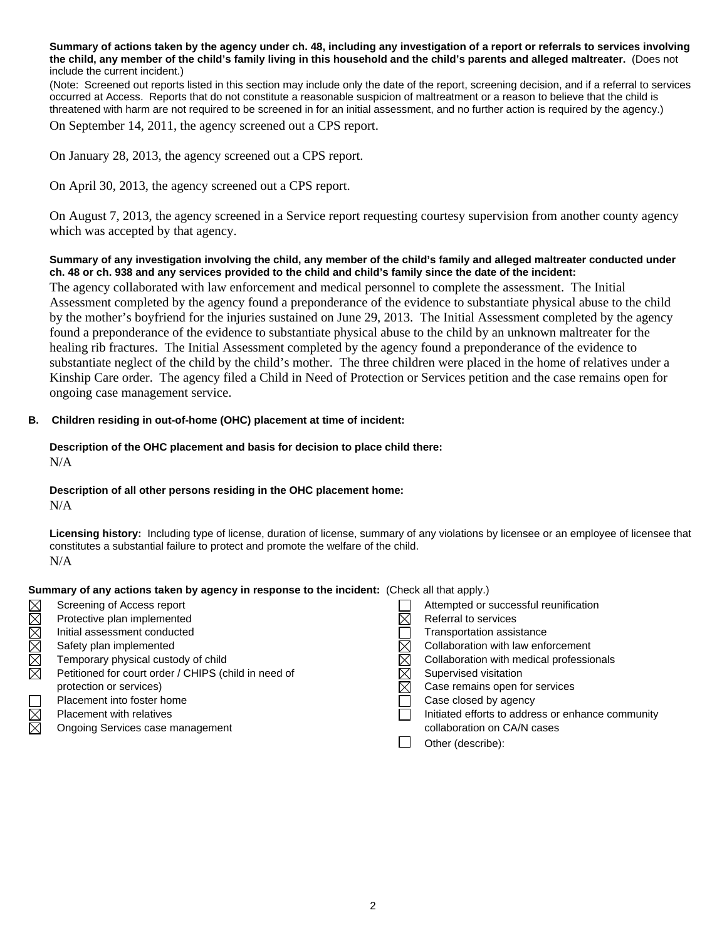**Summary of actions taken by the agency under ch. 48, including any investigation of a report or referrals to services involving the child, any member of the child's family living in this household and the child's parents and alleged maltreater.** (Does not include the current incident.)

(Note: Screened out reports listed in this section may include only the date of the report, screening decision, and if a referral to services occurred at Access. Reports that do not constitute a reasonable suspicion of maltreatment or a reason to believe that the child is threatened with harm are not required to be screened in for an initial assessment, and no further action is required by the agency.)

On September 14, 2011, the agency screened out a CPS report.

On January 28, 2013, the agency screened out a CPS report.

On April 30, 2013, the agency screened out a CPS report.

On August 7, 2013, the agency screened in a Service report requesting courtesy supervision from another county agency which was accepted by that agency.

## **Summary of any investigation involving the child, any member of the child's family and alleged maltreater conducted under ch. 48 or ch. 938 and any services provided to the child and child's family since the date of the incident:**

The agency collaborated with law enforcement and medical personnel to complete the assessment. The Initial Assessment completed by the agency found a preponderance of the evidence to substantiate physical abuse to the child by the mother's boyfriend for the injuries sustained on June 29, 2013. The Initial Assessment completed by the agency found a preponderance of the evidence to substantiate physical abuse to the child by an unknown maltreater for the healing rib fractures. The Initial Assessment completed by the agency found a preponderance of the evidence to substantiate neglect of the child by the child's mother. The three children were placed in the home of relatives under a Kinship Care order. The agency filed a Child in Need of Protection or Services petition and the case remains open for ongoing case management service.

## **B. Children residing in out-of-home (OHC) placement at time of incident:**

# **Description of the OHC placement and basis for decision to place child there:**  N/A

#### **Description of all other persons residing in the OHC placement home:**

N/A

**Licensing history:** Including type of license, duration of license, summary of any violations by licensee or an employee of licensee that constitutes a substantial failure to protect and promote the welfare of the child. N/A

#### **Summary of any actions taken by agency in response to the incident:** (Check all that apply.)

|             | Screening of Access report                           | Attempted or successful reunification             |
|-------------|------------------------------------------------------|---------------------------------------------------|
| MMM         | Protective plan implemented                          | Referral to services                              |
|             | Initial assessment conducted                         | Transportation assistance                         |
| MMM         | Safety plan implemented                              | Collaboration with law enforcement                |
|             | Temporary physical custody of child                  | Collaboration with medical professionals          |
|             | Petitioned for court order / CHIPS (child in need of | Supervised visitation                             |
|             | protection or services)                              | Case remains open for services                    |
|             | Placement into foster home                           | Case closed by agency                             |
| $\boxtimes$ | <b>Placement with relatives</b>                      | Initiated efforts to address or enhance community |
| $\boxtimes$ | Ongoing Services case management                     | collaboration on CA/N cases                       |
|             |                                                      | Other (describe):                                 |